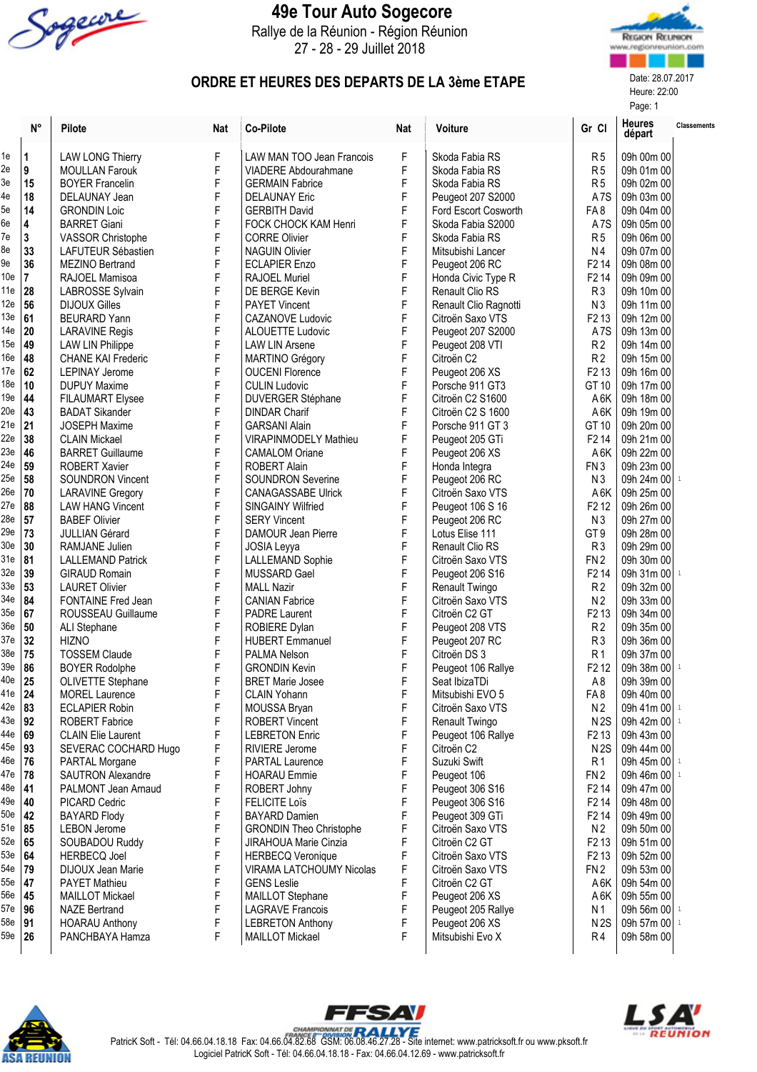

## 49e Tour Auto Sogecore

Rallye de la Réunion - Région Réunion 27 - 28 - 29 Juillet 2018



Heure: 22:00 Page: 1

## ORDRE ET HEURES DES DEPARTS DE LA 3ème ETAPE

|                 | $\mathsf{N}^\circ$ | Pilote                    | <b>Nat</b> | Co-Pilote                       | <b>Nat</b> | <b>Voiture</b>         | Gr Cl                         | <b>Heures</b><br>départ | <b>Classements</b> |
|-----------------|--------------------|---------------------------|------------|---------------------------------|------------|------------------------|-------------------------------|-------------------------|--------------------|
| 1e              | 1                  | <b>LAW LONG Thierry</b>   | F          | LAW MAN TOO Jean Francois       | F          | Skoda Fabia RS         | R <sub>5</sub>                | 09h 00m 00              |                    |
| 2e              | 9                  | <b>MOULLAN Farouk</b>     | F          | VIADERE Abdourahmane            | F          | Skoda Fabia RS         | R <sub>5</sub>                | 09h 01m 00              |                    |
| 3e              | 15                 | <b>BOYER Francelin</b>    | F          | <b>GERMAIN Fabrice</b>          | F          | Skoda Fabia RS         | R <sub>5</sub>                | 09h 02m 00              |                    |
| 4e              | 18                 | DELAUNAY Jean             | F          | <b>DELAUNAY Eric</b>            | F          | Peugeot 207 S2000      | A <sub>7</sub> S              | 09h 03m 00              |                    |
| 5e              | 14                 | <b>GRONDIN Loic</b>       | F          | <b>GERBITH David</b>            | F          | Ford Escort Cosworth   | FA8                           | 09h 04m 00              |                    |
| 6e              | 4                  | <b>BARRET Giani</b>       | F          | <b>FOCK CHOCK KAM Henri</b>     | F          | Skoda Fabia S2000      | A <sub>7</sub> S              | 09h 05m 00              |                    |
| 7e              | 3                  | <b>VASSOR Christophe</b>  | F          | <b>CORRE Olivier</b>            | F          | Skoda Fabia RS         | R <sub>5</sub>                | 09h 06m 00              |                    |
| 8e              | 33                 | LAFUTEUR Sébastien        | F          | <b>NAGUIN Olivier</b>           | F          | Mitsubishi Lancer      | N <sub>4</sub>                | 09h 07m 00              |                    |
| 9e              | 36                 | <b>MEZINO Bertrand</b>    | F          | <b>ECLAPIER Enzo</b>            | F          | Peugeot 206 RC         | F <sub>2</sub> 14             | 09h 08m 00              |                    |
| 10e             | 7                  | RAJOEL Mamisoa            | F          | <b>RAJOEL Muriel</b>            | F          | Honda Civic Type R     | F <sub>2</sub> 14             | 09h 09m 00              |                    |
| 11e             | 28                 | LABROSSE Sylvain          | F          | DE BERGE Kevin                  | F          | Renault Clio RS        | R <sub>3</sub>                | 09h 10m 00              |                    |
| 12e             | 56                 | <b>DIJOUX Gilles</b>      | F          | <b>PAYET Vincent</b>            | F          | Renault Clio Ragnotti  | N <sub>3</sub>                | 09h 11m 00              |                    |
| 13e             | 61                 | <b>BEURARD Yann</b>       | F          | <b>CAZANOVE Ludovic</b>         | F          | Citroën Saxo VTS       | F <sub>2</sub> 13             | 09h 12m 00              |                    |
| 14e             | 20                 | <b>LARAVINE Regis</b>     | F          | <b>ALOUETTE Ludovic</b>         | F          | Peugeot 207 S2000      | A <sub>7</sub> S              | 09h 13m 00              |                    |
| 15e             | 49                 |                           |            |                                 | F          |                        |                               |                         |                    |
|                 |                    | <b>LAW LIN Philippe</b>   | F          | <b>LAW LIN Arsene</b>           |            | Peugeot 208 VTI        | R <sub>2</sub>                | 09h 14m 00              |                    |
| 16e             | 48                 | <b>CHANE KAI Frederic</b> | F          | MARTINO Grégory                 | F          | Citroën C2             | R <sub>2</sub>                | 09h 15m 00              |                    |
| 17e             | 62                 | <b>LEPINAY Jerome</b>     | F          | <b>OUCENI Florence</b>          | F          | Peugeot 206 XS         | F <sub>2</sub> 13             | 09h 16m 00              |                    |
| 18 <sub>e</sub> | 10                 | <b>DUPUY Maxime</b>       | F          | <b>CULIN Ludovic</b>            | F          | Porsche 911 GT3        | GT 10                         | 09h 17m 00              |                    |
| 19e             | 44                 | <b>FILAUMART Elysee</b>   | F          | DUVERGER Stéphane               | F          | Citroën C2 S1600       | A <sub>6</sub> K              | 09h 18m 00              |                    |
| 20e             | 43                 | <b>BADAT Sikander</b>     | F          | <b>DINDAR Charif</b>            | F          | Citroën C2 S 1600      | A <sub>6</sub> K              | 09h 19m 00              |                    |
| 21e             | 21                 | <b>JOSEPH Maxime</b>      | F          | <b>GARSANI Alain</b>            | F          | Porsche 911 GT 3       | GT 10                         | 09h 20m 00              |                    |
| 22e             | 38                 | <b>CLAIN Mickael</b>      | F          | VIRAPINMODELY Mathieu           | F          | Peugeot 205 GTi        | F <sub>2</sub> 14             | 09h 21m 00              |                    |
| 23e             | 46                 | <b>BARRET Guillaume</b>   | F          | <b>CAMALOM Oriane</b>           | F          | Peugeot 206 XS         | A6K                           | 09h 22m 00              |                    |
| 24e             | 59                 | <b>ROBERT Xavier</b>      | F          | <b>ROBERT Alain</b>             | F          | Honda Integra          | FN <sub>3</sub>               | 09h 23m 00              |                    |
| 25e             | 58                 | <b>SOUNDRON Vincent</b>   | F          | <b>SOUNDRON Severine</b>        | F          | Peugeot 206 RC         | N <sub>3</sub>                | 09h 24m 00 1            |                    |
| 26e             | 70                 | <b>LARAVINE Gregory</b>   | F          | <b>CANAGASSABE Ulrick</b>       | F          | Citroën Saxo VTS       | A6K                           | 09h 25m 00              |                    |
| 27e             | 88                 | <b>LAW HANG Vincent</b>   | F          | <b>SINGAINY Wilfried</b>        | F          | Peugeot 106 S 16       | F <sub>2</sub> 1 <sub>2</sub> | 09h 26m 00              |                    |
| 28e             | 57                 | <b>BABEF Olivier</b>      | F          | <b>SERY Vincent</b>             | F          | Peugeot 206 RC         | N <sub>3</sub>                | 09h 27m 00              |                    |
| 29e             | 73                 | <b>JULLIAN Gérard</b>     | F          | DAMOUR Jean Pierre              | F          | Lotus Elise 111        | GT <sub>9</sub>               | 09h 28m 00              |                    |
| 30 <sub>e</sub> | 30                 | RAMJANE Julien            | F          | JOSIA Leyya                     | F          | <b>Renault Clio RS</b> | R <sub>3</sub>                | 09h 29m 00              |                    |
| 31e             | 81                 | <b>LALLEMAND Patrick</b>  | F          | LALLEMAND Sophie                | F          | Citroën Saxo VTS       | FN <sub>2</sub>               | 09h 30m 00              |                    |
| 32e             | 39                 | <b>GIRAUD Romain</b>      | F          | MUSSARD Gael                    | F          | Peugeot 206 S16        | F <sub>2</sub> 14             | 09h 31m 00 1            |                    |
| 33e             | 53                 | <b>LAURET Olivier</b>     | F          | <b>MALL Nazir</b>               | F          | Renault Twingo         | R <sub>2</sub>                | 09h 32m 00              |                    |
| 34e             | 84                 | FONTAINE Fred Jean        | F          | <b>CANIAN Fabrice</b>           | F          | Citroën Saxo VTS       | N <sub>2</sub>                | 09h 33m 00              |                    |
| 35e             | 67                 | ROUSSEAU Guillaume        | F          | <b>PADRE Laurent</b>            | F          | Citroën C2 GT          | F <sub>2</sub> 13             | 09h 34m 00              |                    |
| 36e             | 50                 | ALI Stephane              | F          | ROBIERE Dylan                   | F          | Peugeot 208 VTS        | R <sub>2</sub>                | 09h 35m 00              |                    |
| 37e             | 32                 | <b>HIZNO</b>              | F          | <b>HUBERT Emmanuel</b>          | F          |                        | R <sub>3</sub>                | 09h 36m 00              |                    |
| 38e             |                    |                           |            |                                 |            | Peugeot 207 RC         |                               |                         |                    |
|                 | 75                 | <b>TOSSEM Claude</b>      | F          | PALMA Nelson                    | F          | Citroën DS 3           | R <sub>1</sub>                | 09h 37m 00              |                    |
| 39e             | 86                 | <b>BOYER Rodolphe</b>     | F          | <b>GRONDIN Kevin</b>            | F          | Peugeot 106 Rallye     | F <sub>2</sub> 1 <sub>2</sub> | 09h 38m 00 1            |                    |
| 40e 25          |                    | <b>OLIVETTE Stephane</b>  | F          | <b>BRET Marie Josee</b>         | F          | Seat IbizaTDi          | A8                            | 09h 39m 00              |                    |
| 41e   $24$      |                    | <b>MOREL Laurence</b>     | F          | <b>CLAIN Yohann</b>             | F          | Mitsubishi EVO 5       | FA8                           | 09h 40m 00              |                    |
| 42e   83        |                    | <b>ECLAPIER Robin</b>     | F          | MOUSSA Bryan                    | F          | Citroën Saxo VTS       | N <sub>2</sub>                | 09h 41m 00  1           |                    |
| 43e             | 92                 | <b>ROBERT Fabrice</b>     | F          | <b>ROBERT Vincent</b>           | F          | Renault Twingo         | N2S                           | 09h 42m 00 1            |                    |
| 44e             | 69                 | <b>CLAIN Elie Laurent</b> | F          | <b>LEBRETON Enric</b>           | F          | Peugeot 106 Rallye     | F <sub>2</sub> 13             | 09h 43m 00              |                    |
| $45e$   93      |                    | SEVERAC COCHARD Hugo      | F          | RIVIERE Jerome                  | F          | Citroën C2             | N2S                           | 09h 44m 00              |                    |
| 46e             | 76                 | PARTAL Morgane            | F          | PARTAL Laurence                 | F          | Suzuki Swift           | R <sub>1</sub>                | 09h 45m 00 1            |                    |
| 47e             | 78                 | <b>SAUTRON Alexandre</b>  | F          | <b>HOARAU Emmie</b>             | F          | Peugeot 106            | FN <sub>2</sub>               | 09h 46m 00 1            |                    |
| 48e             | 41                 | PALMONT Jean Arnaud       | F          | ROBERT Johny                    | F          | Peugeot 306 S16        | F <sub>2</sub> 14             | 09h 47m 00              |                    |
| 49e             | 40                 | PICARD Cedric             | F          | <b>FELICITE Loïs</b>            | F          | Peugeot 306 S16        | F <sub>2</sub> 14             | 09h 48m 00              |                    |
| 50e             | 42                 | <b>BAYARD Flody</b>       | F          | <b>BAYARD Damien</b>            | F          | Peugeot 309 GTi        | F <sub>2</sub> 14             | 09h 49m 00              |                    |
| 51e             | 85                 | <b>LEBON Jerome</b>       | F          | <b>GRONDIN Theo Christophe</b>  | F          | Citroën Saxo VTS       | N <sub>2</sub>                | 09h 50m 00              |                    |
| 52e             | 65                 | SOUBADOU Ruddy            | F          | JIRAHOUA Marie Cinzia           | F          | Citroën C2 GT          | F <sub>2</sub> 13             | 09h 51m 00              |                    |
| 53e             | 64                 | <b>HERBECQ Joel</b>       | F          | <b>HERBECQ Veronique</b>        | F          | Citroën Saxo VTS       | F <sub>2</sub> 13             | 09h 52m 00              |                    |
| 54e             | 79                 | DIJOUX Jean Marie         | F          | <b>VIRAMA LATCHOUMY Nicolas</b> | F          | Citroën Saxo VTS       | FN <sub>2</sub>               | 09h 53m 00              |                    |
| 55e             | 47                 | <b>PAYET Mathieu</b>      | F          | <b>GENS Leslie</b>              | F          | Citroën C2 GT          | A6K                           | 09h 54m 00              |                    |
| <b>56e</b>      | 45                 | <b>MAILLOT Mickael</b>    | F          | MAILLOT Stephane                | F          | Peugeot 206 XS         | A6K                           | 09h 55m 00              |                    |
| 57e             | 96                 | <b>NAZE Bertrand</b>      | F          | <b>LAGRAVE Francois</b>         | F          | Peugeot 205 Rallye     | N 1                           | 09h 56m 00 1            |                    |
| 58e             | 91                 | <b>HOARAU Anthony</b>     | F          | <b>LEBRETON Anthony</b>         | F          | Peugeot 206 XS         | N2S                           | 09h 57m 00 1            |                    |
| 59e   26        |                    | PANCHBAYA Hamza           | F          | MAILLOT Mickael                 | F          | Mitsubishi Evo X       | R4                            | 09h 58m 00              |                    |
|                 |                    |                           |            |                                 |            |                        |                               |                         |                    |
|                 |                    |                           |            |                                 |            |                        |                               |                         |                    |